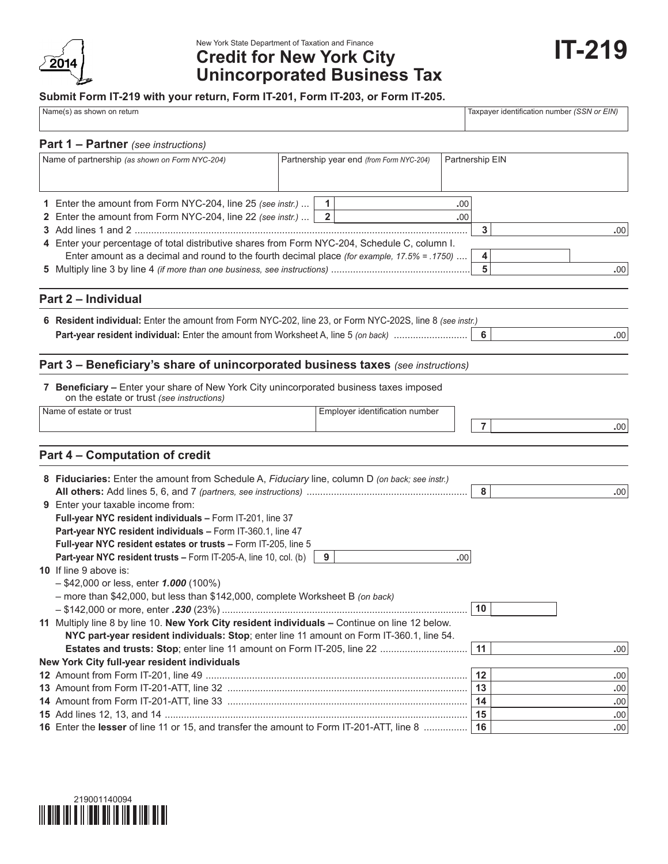

## New York State Department of Taxation and Finance **Credit for New York City Unincorporated Business Tax**

## **Submit Form IT-219 with your return, Form IT-201, Form IT-203, or Form IT-205.**

| Name(s) as shown on return |  |
|----------------------------|--|
|----------------------------|--|

Taxpayer identification number *(SSN or EIN)* 

| <b>Part 1 – Partner</b> (see instructions)                                                                                         |                                          |                 |      |
|------------------------------------------------------------------------------------------------------------------------------------|------------------------------------------|-----------------|------|
| Name of partnership (as shown on Form NYC-204)                                                                                     | Partnership year end (from Form NYC-204) | Partnership EIN |      |
| 1 Enter the amount from Form NYC-204, line 25 (see instr.)                                                                         | $\mathbf{1}$                             | .00             |      |
| 2 Enter the amount from Form NYC-204, line 22 (see instr.)                                                                         | $\overline{2}$                           | .00             |      |
|                                                                                                                                    |                                          | 3               | .00  |
| 4 Enter your percentage of total distributive shares from Form NYC-204, Schedule C, column I.                                      |                                          |                 |      |
| Enter amount as a decimal and round to the fourth decimal place (for example, 17.5% = .1750)                                       |                                          | 4               |      |
|                                                                                                                                    |                                          | 5               | .00  |
|                                                                                                                                    |                                          |                 |      |
| Part 2 - Individual                                                                                                                |                                          |                 |      |
| 6 Resident individual: Enter the amount from Form NYC-202, line 23, or Form NYC-202S, line 8 (see instr.)                          |                                          |                 |      |
| Part-year resident individual: Enter the amount from Worksheet A, line 5 (on back)                                                 |                                          | 6               | .00  |
|                                                                                                                                    |                                          |                 |      |
| Part 3 - Beneficiary's share of unincorporated business taxes (see instructions)                                                   |                                          |                 |      |
| 7 Beneficiary - Enter your share of New York City unincorporated business taxes imposed                                            |                                          |                 |      |
| on the estate or trust (see instructions)                                                                                          |                                          |                 |      |
| Name of estate or trust                                                                                                            | Employer identification number           |                 |      |
|                                                                                                                                    |                                          | $\overline{7}$  | .00  |
|                                                                                                                                    |                                          |                 |      |
| Part 4 - Computation of credit                                                                                                     |                                          |                 |      |
| 8 Fiduciaries: Enter the amount from Schedule A, Fiduciary line, column D (on back; see instr.)                                    |                                          |                 |      |
|                                                                                                                                    |                                          | 8               | .00  |
| 9 Enter your taxable income from:                                                                                                  |                                          |                 |      |
| Full-year NYC resident individuals - Form IT-201, line 37                                                                          |                                          |                 |      |
| Part-year NYC resident individuals - Form IT-360.1, line 47                                                                        |                                          |                 |      |
|                                                                                                                                    |                                          |                 |      |
| Full-year NYC resident estates or trusts - Form IT-205, line 5<br>Part-year NYC resident trusts - Form IT-205-A, line 10, col. (b) |                                          |                 |      |
|                                                                                                                                    | 9                                        | .00.            |      |
| <b>10</b> If line 9 above is:                                                                                                      |                                          |                 |      |
| $-$ \$42,000 or less, enter 1.000 (100%)                                                                                           |                                          |                 |      |
| - more than \$42,000, but less than \$142,000, complete Worksheet B (on back)                                                      |                                          |                 |      |
|                                                                                                                                    |                                          | 10              |      |
| 11 Multiply line 8 by line 10. New York City resident individuals - Continue on line 12 below.                                     |                                          |                 |      |
| NYC part-year resident individuals: Stop; enter line 11 amount on Form IT-360.1, line 54.                                          |                                          |                 |      |
| Estates and trusts: Stop; enter line 11 amount on Form IT-205, line 22                                                             |                                          | 11              | .00. |
| New York City full-year resident individuals                                                                                       |                                          |                 |      |
|                                                                                                                                    |                                          | 12              | .00  |
|                                                                                                                                    |                                          | 13              | .00  |
|                                                                                                                                    |                                          | 14              | .00  |
|                                                                                                                                    |                                          | 15              | .00  |
| 16 Enter the lesser of line 11 or 15, and transfer the amount to Form IT-201-ATT, line 8                                           |                                          | 16              | .00  |